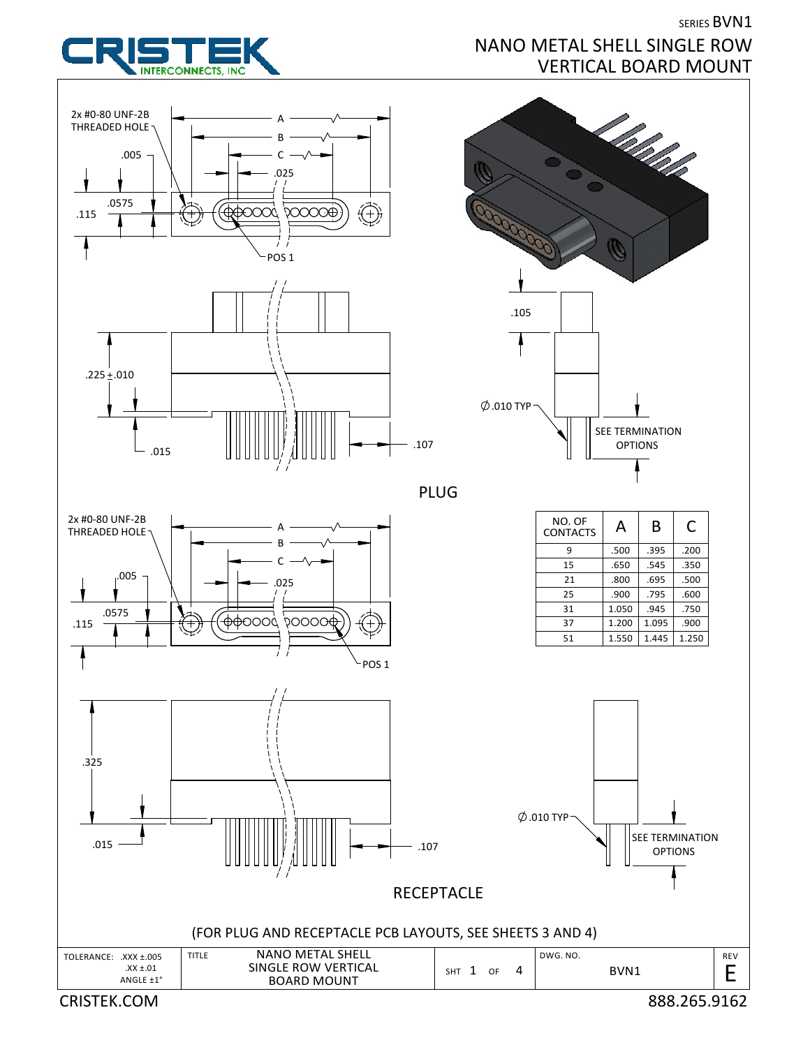

SERIES BVN1

## NANO METAL SHELL SINGLE ROW VERTICAL BOARD MOUNT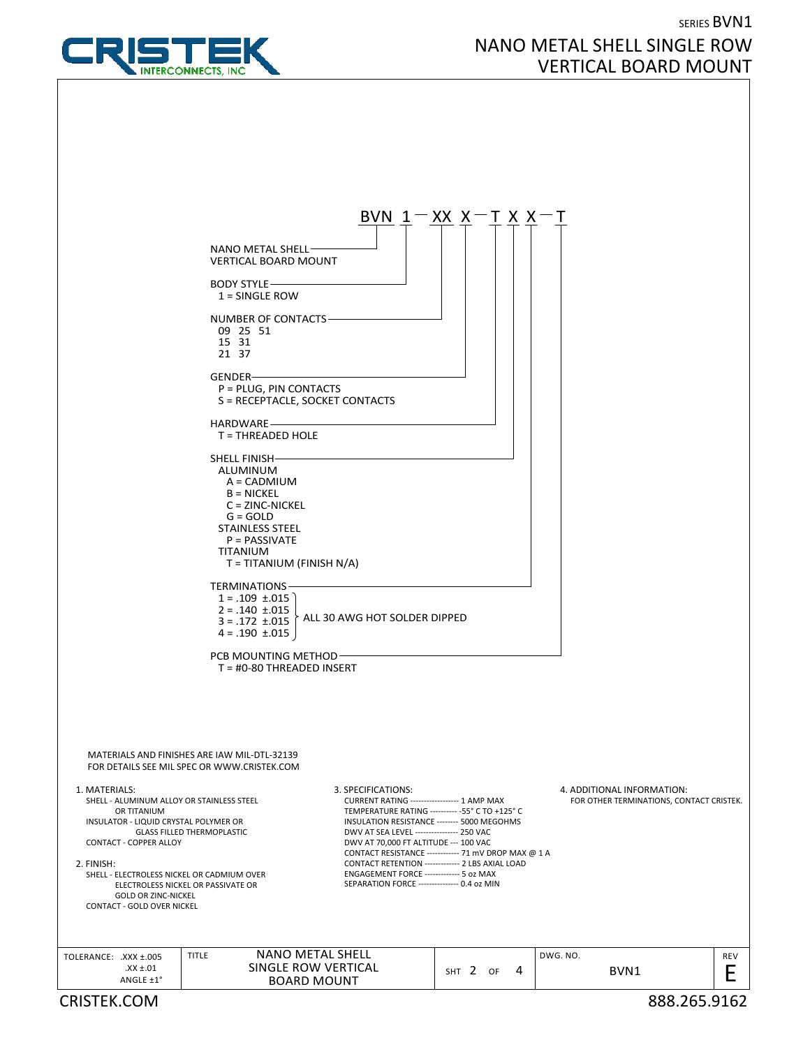

## SERIES BVN1 NANO METAL SHELL SINGLE ROW VERTICAL BOARD MOUNT

|                                                                                                                                                                                                                                                                                    |                                                                                                                                                                                   |                                                                                                                                                                                                                                                                                                                                                      | BVN $1 - XX X - T X X -$                                                                                 |                            |                                          |
|------------------------------------------------------------------------------------------------------------------------------------------------------------------------------------------------------------------------------------------------------------------------------------|-----------------------------------------------------------------------------------------------------------------------------------------------------------------------------------|------------------------------------------------------------------------------------------------------------------------------------------------------------------------------------------------------------------------------------------------------------------------------------------------------------------------------------------------------|----------------------------------------------------------------------------------------------------------|----------------------------|------------------------------------------|
|                                                                                                                                                                                                                                                                                    | NANO METAL SHELL-<br><b>VERTICAL BOARD MOUNT</b>                                                                                                                                  |                                                                                                                                                                                                                                                                                                                                                      |                                                                                                          |                            |                                          |
|                                                                                                                                                                                                                                                                                    | <b>BODY STYLE-</b><br>$1 =$ SINGLE ROW                                                                                                                                            |                                                                                                                                                                                                                                                                                                                                                      |                                                                                                          |                            |                                          |
|                                                                                                                                                                                                                                                                                    | NUMBER OF CONTACTS<br>09 25 51<br>15 31<br>21 37                                                                                                                                  |                                                                                                                                                                                                                                                                                                                                                      |                                                                                                          |                            |                                          |
|                                                                                                                                                                                                                                                                                    | GENDER-<br>P = PLUG, PIN CONTACTS<br>S = RECEPTACLE, SOCKET CONTACTS                                                                                                              |                                                                                                                                                                                                                                                                                                                                                      |                                                                                                          |                            |                                          |
|                                                                                                                                                                                                                                                                                    | HARDWARE-<br>$T = THREADED HOLE$                                                                                                                                                  |                                                                                                                                                                                                                                                                                                                                                      |                                                                                                          |                            |                                          |
|                                                                                                                                                                                                                                                                                    | SHELL FINISH-<br>ALUMINUM<br>A = CADMIUM<br>$B = NICKEL$<br>$C = ZINC-NICKEL$<br>$G = GOLD$<br><b>STAINLESS STEEL</b><br>$P = PASSIVATE$<br>TITANIUM<br>T = TITANIUM (FINISH N/A) |                                                                                                                                                                                                                                                                                                                                                      |                                                                                                          |                            |                                          |
|                                                                                                                                                                                                                                                                                    | <b>TERMINATIONS</b><br>$1 = .109 \pm .015$<br>$2 = .140 \pm .015$<br>$3 = .172 \pm .015$<br>$4 = .190 \pm .015$                                                                   | ALL 30 AWG HOT SOLDER DIPPED                                                                                                                                                                                                                                                                                                                         |                                                                                                          |                            |                                          |
|                                                                                                                                                                                                                                                                                    | PCB MOUNTING METHOD-<br>$T = #0-80$ THREADED INSERT                                                                                                                               |                                                                                                                                                                                                                                                                                                                                                      |                                                                                                          |                            |                                          |
|                                                                                                                                                                                                                                                                                    | MATERIALS AND FINISHES ARE IAW MIL-DTL-32139<br>FOR DETAILS SEE MIL SPEC OR WWW.CRISTEK.COM                                                                                       |                                                                                                                                                                                                                                                                                                                                                      |                                                                                                          |                            |                                          |
| 1. MATERIALS:<br>SHELL - ALUMINUM ALLOY OR STAINLESS STEEL<br>OR TITANIUM<br>INSULATOR - LIQUID CRYSTAL POLYMER OR<br><b>CONTACT - COPPER ALLOY</b><br>2. FINISH:<br>SHELL - ELECTROLESS NICKEL OR CADMIUM OVER<br><b>GOLD OR ZINC-NICKEL</b><br><b>CONTACT - GOLD OVER NICKEL</b> | <b>GLASS FILLED THERMOPLASTIC</b><br>ELECTROLESS NICKEL OR PASSIVATE OR                                                                                                           | 3. SPECIFICATIONS:<br>CURRENT RATING ----------------- 1 AMP MAX<br>TEMPERATURE RATING ---------- - 55° C TO +125° C<br>INSULATION RESISTANCE -------- 5000 MEGOHMS<br>DWV AT SEA LEVEL ---------------- 250 VAC<br>DWV AT 70,000 FT ALTITUDE --- 100 VAC<br>ENGAGEMENT FORCE ------------- 5 oz MAX<br>SEPARATION FORCE ---------------- 0.4 oz MIN | CONTACT RESISTANCE ------------ 71 mV DROP MAX @ 1 A<br>CONTACT RETENTION ------------- 2 LBS AXIAL LOAD | 4. ADDITIONAL INFORMATION: | FOR OTHER TERMINATIONS, CONTACT CRISTEK. |
| TOLERANCE: .XXX ±.005<br>$XX \pm .01$<br>ANGLE ±1°                                                                                                                                                                                                                                 | <b>NANO METAL SHELL</b><br><b>TITLE</b><br>SINGLE ROW VERTICAL<br><b>BOARD MOUNT</b>                                                                                              |                                                                                                                                                                                                                                                                                                                                                      | SHT 2 OF<br>4                                                                                            | DWG. NO.<br>BVN1           | <b>REV</b><br>E                          |
| <b>CRISTEK.COM</b>                                                                                                                                                                                                                                                                 |                                                                                                                                                                                   |                                                                                                                                                                                                                                                                                                                                                      |                                                                                                          |                            | 888.265.9162                             |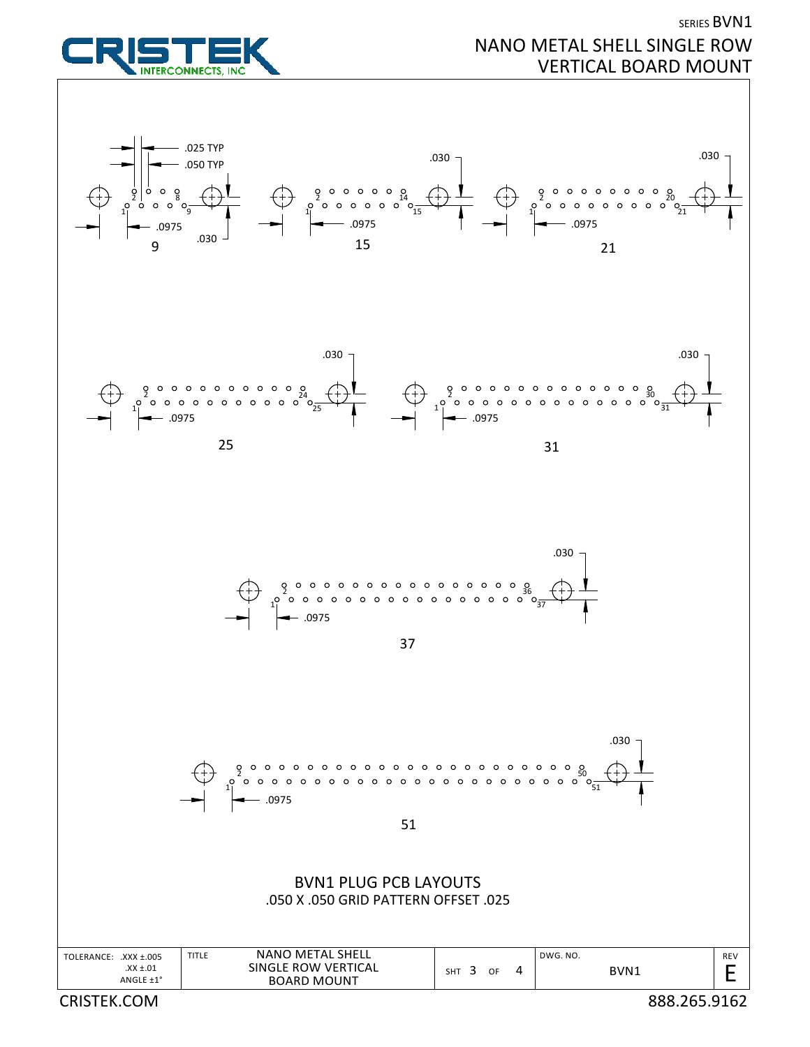

## SERIES BVN1 NANO METAL SHELL SINGLE ROW VERTICAL BOARD MOUNT